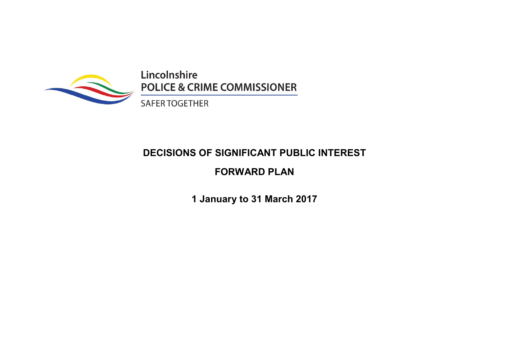

Lincolnshire **POLICE & CRIME COMMISSIONER** 

**SAFER TOGETHER** 

# DECISIONS OF SIGNIFICANT PUBLIC INTEREST

## FORWARD PLAN

1 January to 31 March 2017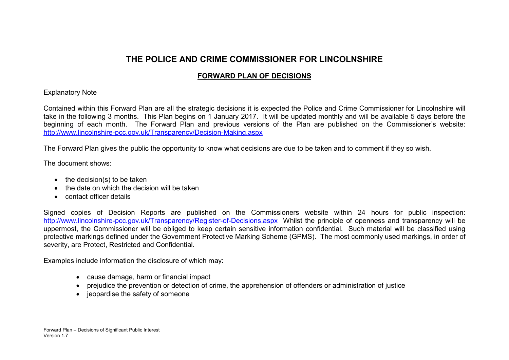### THE POLICE AND CRIME COMMISSIONER FOR LINCOLNSHIRE

### FORWARD PLAN OF DECISIONS

#### Explanatory Note

Contained within this Forward Plan are all the strategic decisions it is expected the Police and Crime Commissioner for Lincolnshire will take in the following 3 months. This Plan begins on 1 January 2017. It will be updated monthly and will be available 5 days before the beginning of each month. The Forward Plan and previous versions of the Plan are published on the Commissioner's website: http://www.lincolnshire-pcc.gov.uk/Transparency/Decision-Making.aspx

The Forward Plan gives the public the opportunity to know what decisions are due to be taken and to comment if they so wish.

The document shows:

- $\bullet$  the decision(s) to be taken
- the date on which the decision will be taken
- contact officer details

Signed copies of Decision Reports are published on the Commissioners website within 24 hours for public inspection: http://www.lincolnshire-pcc.gov.uk/Transparency/Register-of-Decisions.aspx Whilst the principle of openness and transparency will be uppermost, the Commissioner will be obliged to keep certain sensitive information confidential. Such material will be classified using protective markings defined under the Government Protective Marking Scheme (GPMS). The most commonly used markings, in order of severity, are Protect, Restricted and Confidential.

Examples include information the disclosure of which may:

- cause damage, harm or financial impact
- prejudice the prevention or detection of crime, the apprehension of offenders or administration of justice
- jeopardise the safety of someone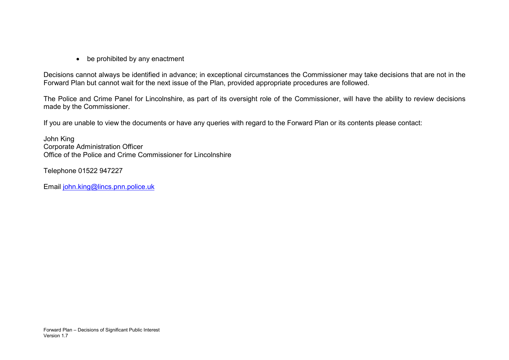• be prohibited by any enactment

Decisions cannot always be identified in advance; in exceptional circumstances the Commissioner may take decisions that are not in the Forward Plan but cannot wait for the next issue of the Plan, provided appropriate procedures are followed.

The Police and Crime Panel for Lincolnshire, as part of its oversight role of the Commissioner, will have the ability to review decisions made by the Commissioner.

If you are unable to view the documents or have any queries with regard to the Forward Plan or its contents please contact:

John King Corporate Administration Officer Office of the Police and Crime Commissioner for Lincolnshire

Telephone 01522 947227

Email john.king@lincs.pnn.police.uk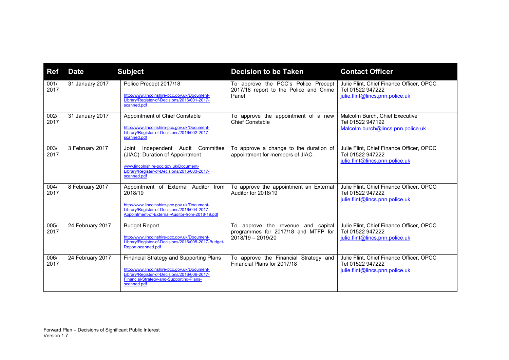| <b>Ref</b>   | <b>Date</b>      | <b>Subject</b>                                                                                                                                                                                      | <b>Decision to be Taken</b>                                                                      | <b>Contact Officer</b>                                                                          |
|--------------|------------------|-----------------------------------------------------------------------------------------------------------------------------------------------------------------------------------------------------|--------------------------------------------------------------------------------------------------|-------------------------------------------------------------------------------------------------|
| 001/<br>2017 | 31 January 2017  | Police Precept 2017/18<br>http://www.lincolnshire-pcc.gov.uk/Document-<br>Library/Register-of-Decisions/2016/001-2017-<br>scanned.pdf                                                               | To approve the PCC's Police Precept<br>2017/18 report to the Police and Crime<br>Panel           | Julie Flint, Chief Finance Officer, OPCC<br>Tel 01522 947222<br>julie.flint@lincs.pnn.police.uk |
| 002/<br>2017 | 31 January 2017  | Appointment of Chief Constable<br>http://www.lincolnshire-pcc.gov.uk/Document-<br>Library/Register-of-Decisions/2016/002-2017-<br>scanned.pdf                                                       | To approve the appointment of a new<br><b>Chief Constable</b>                                    | Malcolm Burch, Chief Executive<br>Tel 01522 947192<br>Malcolm.burch@lincs.pnn.police.uk         |
| 003/<br>2017 | 3 February 2017  | Independent Audit<br>Committee<br>Joint<br>(JIAC): Duration of Appointment<br>www.lincolnshire-pcc.gov.uk/Document-<br>Library/Register-of-Decisions/2016/003-2017-<br>scanned.pdf                  | To approve a change to the duration of<br>appointment for members of JIAC.                       | Julie Flint, Chief Finance Officer, OPCC<br>Tel 01522 947222<br>julie.flint@lincs.pnn.police.uk |
| 004/<br>2017 | 8 February 2017  | Appointment of External Auditor from<br>2018/19<br>http://www.lincolnshire-pcc.gov.uk/Document-<br>Library/Register-of-Decisions/2016/004-2017-<br>Appointment-of-External-Auditor-from-2018-19.pdf | To approve the appointment an External<br>Auditor for 2018/19                                    | Julie Flint, Chief Finance Officer, OPCC<br>Tel 01522 947222<br>julie.flint@lincs.pnn.police.uk |
| 005/<br>2017 | 24 February 2017 | <b>Budget Report</b><br>http://www.lincolnshire-pcc.gov.uk/Document-<br>Library/Register-of-Decisions/2016/005-2017-Budget-<br>Report-scanned.pdf                                                   | To approve the revenue and capital<br>programmes for 2017/18 and MTFP for<br>$2018/19 - 2019/20$ | Julie Flint, Chief Finance Officer, OPCC<br>Tel 01522 947222<br>julie.flint@lincs.pnn.police.uk |
| 006/<br>2017 | 24 February 2017 | Financial Strategy and Supporting Plans<br>http://www.lincolnshire-pcc.gov.uk/Document-<br>Library/Register-of-Decisions/2016/006-2017-<br>Financial-Strategy-and-Supporting-Plans-<br>scanned.pdf  | To approve the Financial Strategy and<br>Financial Plans for 2017/18                             | Julie Flint, Chief Finance Officer, OPCC<br>Tel 01522 947222<br>julie.flint@lincs.pnn.police.uk |